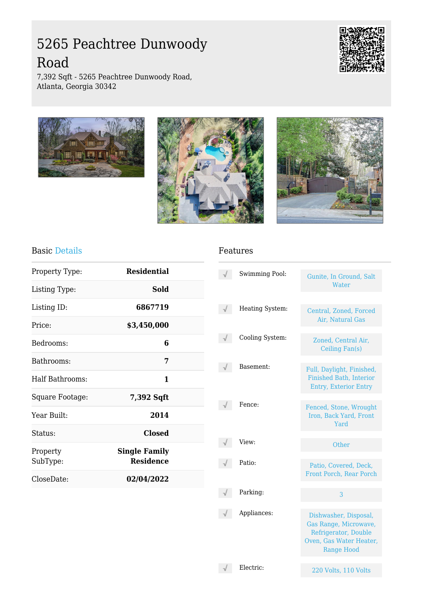# 5265 Peachtree Dunwoody Road



7,392 Sqft - 5265 Peachtree Dunwoody Road, Atlanta, Georgia 30342







#### Basic Details

| Property Type:       | <b>Residential</b>                       |  |
|----------------------|------------------------------------------|--|
| Listing Type:        | Sold                                     |  |
| Listing ID:          | 6867719                                  |  |
| Price:               | \$3,450,000                              |  |
| Bedrooms:            | 6                                        |  |
| Bathrooms:           | 7                                        |  |
| Half Bathrooms:      | 1                                        |  |
| Square Footage:      | 7,392 Sqft                               |  |
| Year Built:          | 2014                                     |  |
| Status:              | <b>Closed</b>                            |  |
| Property<br>SubType: | <b>Single Family</b><br><b>Residence</b> |  |
| CloseDate:           | 02/04/2022                               |  |
|                      |                                          |  |

#### Features

| Swimming Pool:  | Gunite, In Ground, Salt<br>Water                                                                                       |
|-----------------|------------------------------------------------------------------------------------------------------------------------|
| Heating System: | Central, Zoned, Forced<br>Air, Natural Gas                                                                             |
| Cooling System: | Zoned, Central Air,<br>Ceiling Fan(s)                                                                                  |
| Basement:       | Full, Daylight, Finished,<br>Finished Bath, Interior<br><b>Entry, Exterior Entry</b>                                   |
| Fence:          | Fenced, Stone, Wrought<br>Iron, Back Yard, Front<br>Yard                                                               |
| View:           | Other                                                                                                                  |
| Patio:          | Patio, Covered, Deck,<br>Front Porch, Rear Porch                                                                       |
| Parking:        | 3                                                                                                                      |
| Appliances:     | Dishwasher, Disposal,<br>Gas Range, Microwave,<br>Refrigerator, Double<br>Oven, Gas Water Heater,<br><b>Range Hood</b> |

Electric: 220 Volts, 110 Volts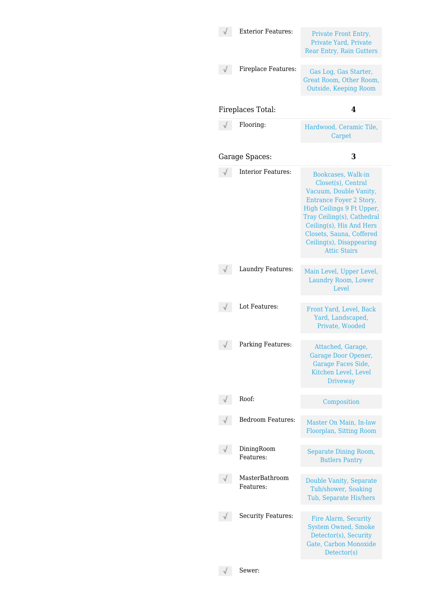|            | <b>Exterior Features:</b>   | Private Front Entry,<br>Private Yard, Private<br><b>Rear Entry, Rain Gutters</b>                                                                                                                                                                                           |
|------------|-----------------------------|----------------------------------------------------------------------------------------------------------------------------------------------------------------------------------------------------------------------------------------------------------------------------|
|            | Fireplace Features:         | Gas Log, Gas Starter,<br>Great Room, Other Room,<br>Outside, Keeping Room                                                                                                                                                                                                  |
|            | Fireplaces Total:           | 4                                                                                                                                                                                                                                                                          |
|            | Flooring:                   | Hardwood, Ceramic Tile,<br>Carpet                                                                                                                                                                                                                                          |
|            | Garage Spaces:              | 3                                                                                                                                                                                                                                                                          |
|            | <b>Interior Features:</b>   | Bookcases, Walk-in<br>Closet(s), Central<br>Vacuum, Double Vanity,<br><b>Entrance Foyer 2 Story,</b><br>High Ceilings 9 Ft Upper,<br>Tray Ceiling(s), Cathedral<br>Ceiling(s), His And Hers<br>Closets, Sauna, Coffered<br>Ceiling(s), Disappearing<br><b>Attic Stairs</b> |
|            | Laundry Features:           | Main Level, Upper Level,<br>Laundry Room, Lower<br>Level                                                                                                                                                                                                                   |
|            | Lot Features:               | Front Yard, Level, Back<br>Yard, Landscaped,<br>Private, Wooded                                                                                                                                                                                                            |
| $\sqrt{ }$ | Parking Features:           | Attached, Garage,<br>Garage Door Opener,<br>Garage Faces Side,<br>Kitchen Level, Level<br><b>Driveway</b>                                                                                                                                                                  |
|            | Roof:                       | Composition                                                                                                                                                                                                                                                                |
|            | Bedroom Features:           | Master On Main, In-law<br>Floorplan, Sitting Room                                                                                                                                                                                                                          |
|            | DiningRoom<br>Features:     | Separate Dining Room,<br><b>Butlers Pantry</b>                                                                                                                                                                                                                             |
|            | MasterBathroom<br>Features: | <b>Double Vanity, Separate</b><br>Tub/shower, Soaking<br>Tub, Separate His/hers                                                                                                                                                                                            |
|            | <b>Security Features:</b>   | Fire Alarm, Security<br><b>System Owned, Smoke</b><br>Detector(s), Security<br>Gate, Carbon Monoxide<br>Detector(s)                                                                                                                                                        |
|            | Sewer:                      |                                                                                                                                                                                                                                                                            |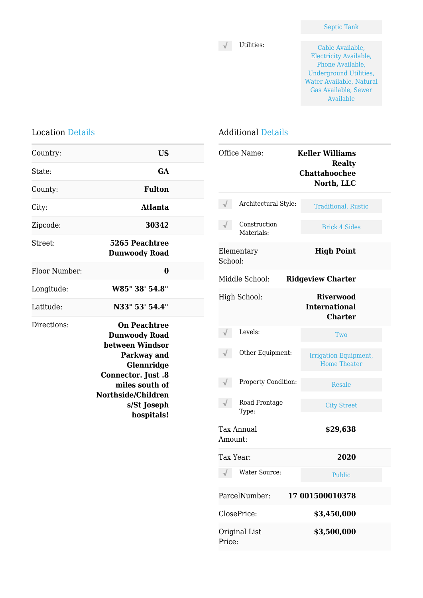$\begin{tabular}{ll} $\sqrt$ \quad \ \ \, & Utilities: \end{tabular}$ Electricity Available, Phone Available, Underground Utilities, Water Available, Natural Gas Available, Sewer Available

## Location Details

| Country:      | <b>US</b>                                                                                                                                                                              |  |
|---------------|----------------------------------------------------------------------------------------------------------------------------------------------------------------------------------------|--|
| State:        | <b>GA</b>                                                                                                                                                                              |  |
| County:       | <b>Fulton</b>                                                                                                                                                                          |  |
| City:         | <b>Atlanta</b>                                                                                                                                                                         |  |
| Zipcode:      | 30342                                                                                                                                                                                  |  |
| Street:       | 5265 Peachtree<br><b>Dunwoody Road</b>                                                                                                                                                 |  |
| Floor Number: | 0                                                                                                                                                                                      |  |
| Longitude:    | W85° 38' 54.8"                                                                                                                                                                         |  |
| Latitude:     | N33° 53' 54.4"                                                                                                                                                                         |  |
| Directions:   | <b>On Peachtree</b><br><b>Dunwoody Road</b><br>between Windsor<br>Parkway and<br>Glennridge<br>Connector. Just .8<br>miles south of<br>Northside/Children<br>s/St Joseph<br>hospitals! |  |

### Additional Details

|                                            | Office Name:               | <b>Keller Williams</b><br><b>Realty</b><br><b>Chattahoochee</b><br>North, LLC |  |
|--------------------------------------------|----------------------------|-------------------------------------------------------------------------------|--|
|                                            | Architectural Style:       | <b>Traditional, Rustic</b>                                                    |  |
|                                            | Construction<br>Materials: | <b>Brick 4 Sides</b>                                                          |  |
| School:                                    | Elementary                 | <b>High Point</b>                                                             |  |
| Middle School:<br><b>Ridgeview Charter</b> |                            |                                                                               |  |
|                                            | High School:               | <b>Riverwood</b><br><b>International</b><br><b>Charter</b>                    |  |
|                                            | Levels:                    | Two                                                                           |  |
|                                            | Other Equipment:           | Irrigation Equipment,<br><b>Home Theater</b>                                  |  |
|                                            | Property Condition:        | Resale                                                                        |  |
|                                            | Road Frontage<br>Type:     | <b>City Street</b>                                                            |  |
| Amount:                                    | <b>Tax Annual</b>          | \$29,638                                                                      |  |
| Tax Year:                                  |                            | 2020                                                                          |  |
|                                            | Water Source:              | <b>Public</b>                                                                 |  |
| ParcelNumber:<br>17 001500010378           |                            |                                                                               |  |
|                                            | ClosePrice:                | \$3,450,000                                                                   |  |
| Price:                                     | Original List              | \$3,500,000                                                                   |  |